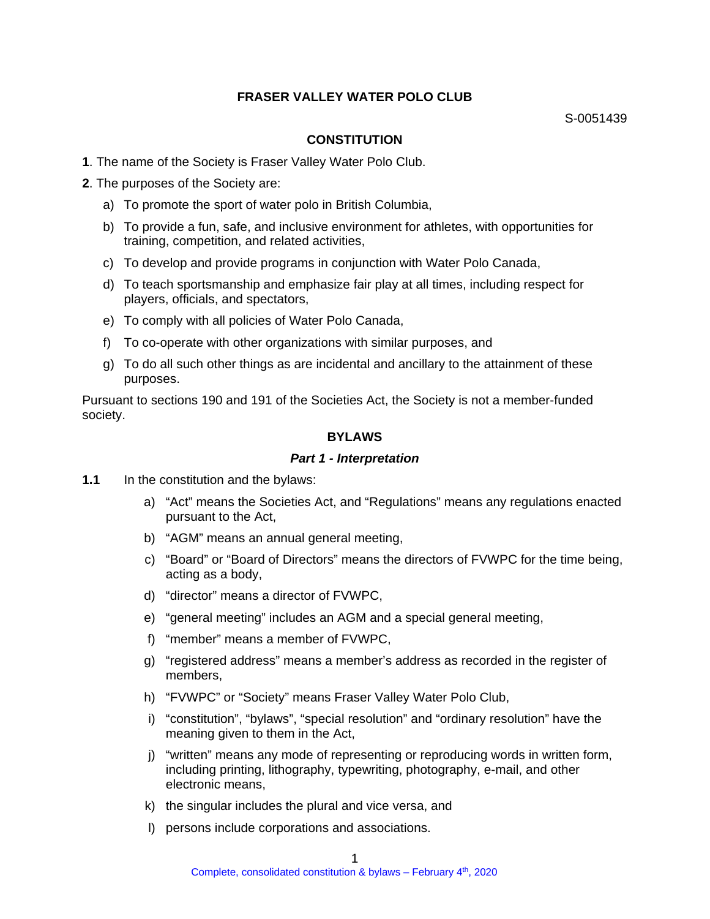# **FRASER VALLEY WATER POLO CLUB**

#### **CONSTITUTION**

- **1**. The name of the Society is Fraser Valley Water Polo Club.
- **2**. The purposes of the Society are:
	- a) To promote the sport of water polo in British Columbia,
	- b) To provide a fun, safe, and inclusive environment for athletes, with opportunities for training, competition, and related activities,
	- c) To develop and provide programs in conjunction with Water Polo Canada,
	- d) To teach sportsmanship and emphasize fair play at all times, including respect for players, officials, and spectators,
	- e) To comply with all policies of Water Polo Canada,
	- f) To co-operate with other organizations with similar purposes, and
	- g) To do all such other things as are incidental and ancillary to the attainment of these purposes.

Pursuant to sections 190 and 191 of the Societies Act, the Society is not a member-funded society.

# **BYLAWS**

#### *Part 1 - Interpretation*

- **1.1** In the constitution and the bylaws:
	- a) "Act" means the Societies Act, and "Regulations" means any regulations enacted pursuant to the Act,
	- b) "AGM" means an annual general meeting,
	- c) "Board" or "Board of Directors" means the directors of FVWPC for the time being, acting as a body,
	- d) "director" means a director of FVWPC,
	- e) "general meeting" includes an AGM and a special general meeting,
	- f) "member" means a member of FVWPC,
	- g) "registered address" means a member's address as recorded in the register of members,
	- h) "FVWPC" or "Society" means Fraser Valley Water Polo Club,
	- i) "constitution", "bylaws", "special resolution" and "ordinary resolution" have the meaning given to them in the Act,
	- j) "written" means any mode of representing or reproducing words in written form, including printing, lithography, typewriting, photography, e-mail, and other electronic means,
	- k) the singular includes the plural and vice versa, and
	- l) persons include corporations and associations.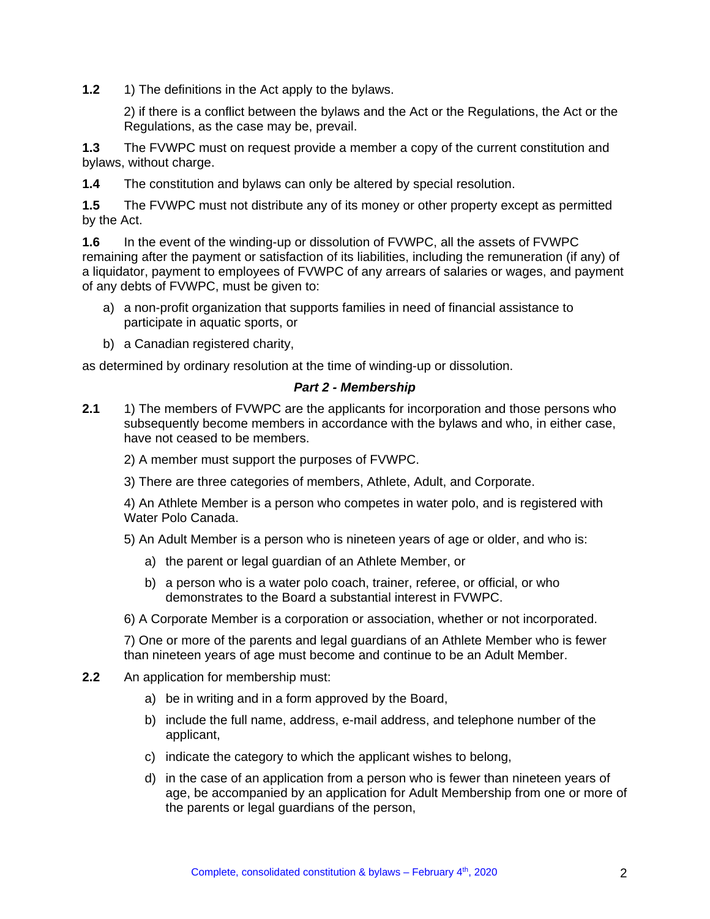**1.2** 1) The definitions in the Act apply to the bylaws.

2) if there is a conflict between the bylaws and the Act or the Regulations, the Act or the Regulations, as the case may be, prevail.

**1.3** The FVWPC must on request provide a member a copy of the current constitution and bylaws, without charge.

**1.4** The constitution and bylaws can only be altered by special resolution.

**1.5** The FVWPC must not distribute any of its money or other property except as permitted by the Act.

**1.6** In the event of the winding-up or dissolution of FVWPC, all the assets of FVWPC remaining after the payment or satisfaction of its liabilities, including the remuneration (if any) of a liquidator, payment to employees of FVWPC of any arrears of salaries or wages, and payment of any debts of FVWPC, must be given to:

- a) a non-profit organization that supports families in need of financial assistance to participate in aquatic sports, or
- b) a Canadian registered charity,

as determined by ordinary resolution at the time of winding-up or dissolution.

#### *Part 2 - Membership*

**2.1** 1) The members of FVWPC are the applicants for incorporation and those persons who subsequently become members in accordance with the bylaws and who, in either case, have not ceased to be members.

2) A member must support the purposes of FVWPC.

3) There are three categories of members, Athlete, Adult, and Corporate.

4) An Athlete Member is a person who competes in water polo, and is registered with Water Polo Canada.

5) An Adult Member is a person who is nineteen years of age or older, and who is:

- a) the parent or legal guardian of an Athlete Member, or
- b) a person who is a water polo coach, trainer, referee, or official, or who demonstrates to the Board a substantial interest in FVWPC.

6) A Corporate Member is a corporation or association, whether or not incorporated.

7) One or more of the parents and legal guardians of an Athlete Member who is fewer than nineteen years of age must become and continue to be an Adult Member.

- **2.2** An application for membership must:
	- a) be in writing and in a form approved by the Board,
	- b) include the full name, address, e-mail address, and telephone number of the applicant,
	- c) indicate the category to which the applicant wishes to belong,
	- d) in the case of an application from a person who is fewer than nineteen years of age, be accompanied by an application for Adult Membership from one or more of the parents or legal guardians of the person,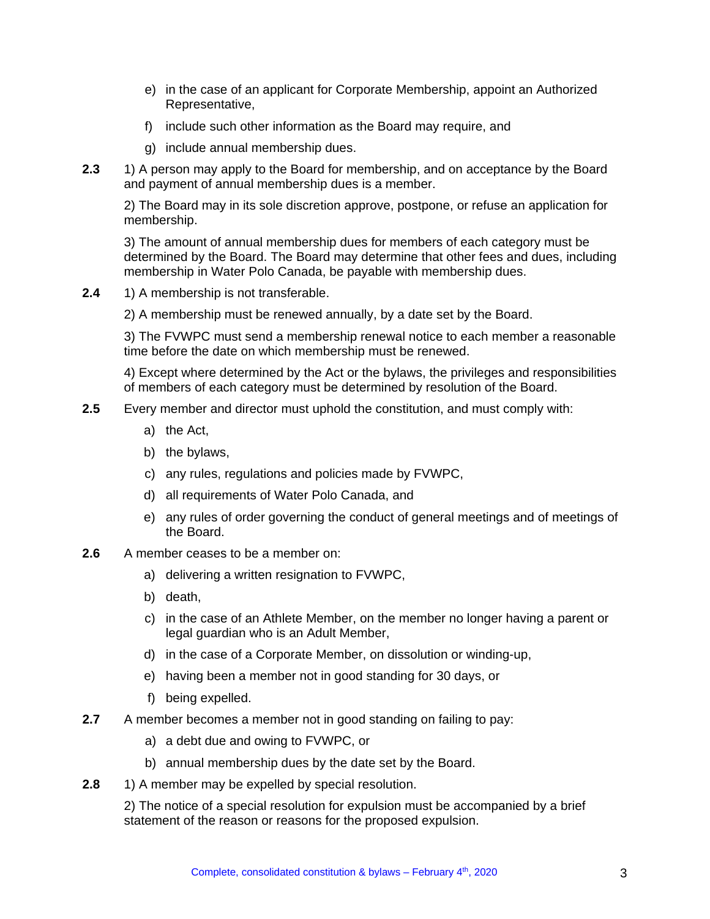- e) in the case of an applicant for Corporate Membership, appoint an Authorized Representative,
- f) include such other information as the Board may require, and
- g) include annual membership dues.
- **2.3** 1) A person may apply to the Board for membership, and on acceptance by the Board and payment of annual membership dues is a member.

2) The Board may in its sole discretion approve, postpone, or refuse an application for membership.

3) The amount of annual membership dues for members of each category must be determined by the Board. The Board may determine that other fees and dues, including membership in Water Polo Canada, be payable with membership dues.

**2.4** 1) A membership is not transferable.

2) A membership must be renewed annually, by a date set by the Board.

3) The FVWPC must send a membership renewal notice to each member a reasonable time before the date on which membership must be renewed.

4) Except where determined by the Act or the bylaws, the privileges and responsibilities of members of each category must be determined by resolution of the Board.

- **2.5** Every member and director must uphold the constitution, and must comply with:
	- a) the Act,
	- b) the bylaws,
	- c) any rules, regulations and policies made by FVWPC,
	- d) all requirements of Water Polo Canada, and
	- e) any rules of order governing the conduct of general meetings and of meetings of the Board.
- **2.6** A member ceases to be a member on:
	- a) delivering a written resignation to FVWPC,
	- b) death,
	- c) in the case of an Athlete Member, on the member no longer having a parent or legal guardian who is an Adult Member,
	- d) in the case of a Corporate Member, on dissolution or winding-up,
	- e) having been a member not in good standing for 30 days, or
	- f) being expelled.
- **2.7** A member becomes a member not in good standing on failing to pay:
	- a) a debt due and owing to FVWPC, or
	- b) annual membership dues by the date set by the Board.
- **2.8** 1) A member may be expelled by special resolution.

2) The notice of a special resolution for expulsion must be accompanied by a brief statement of the reason or reasons for the proposed expulsion.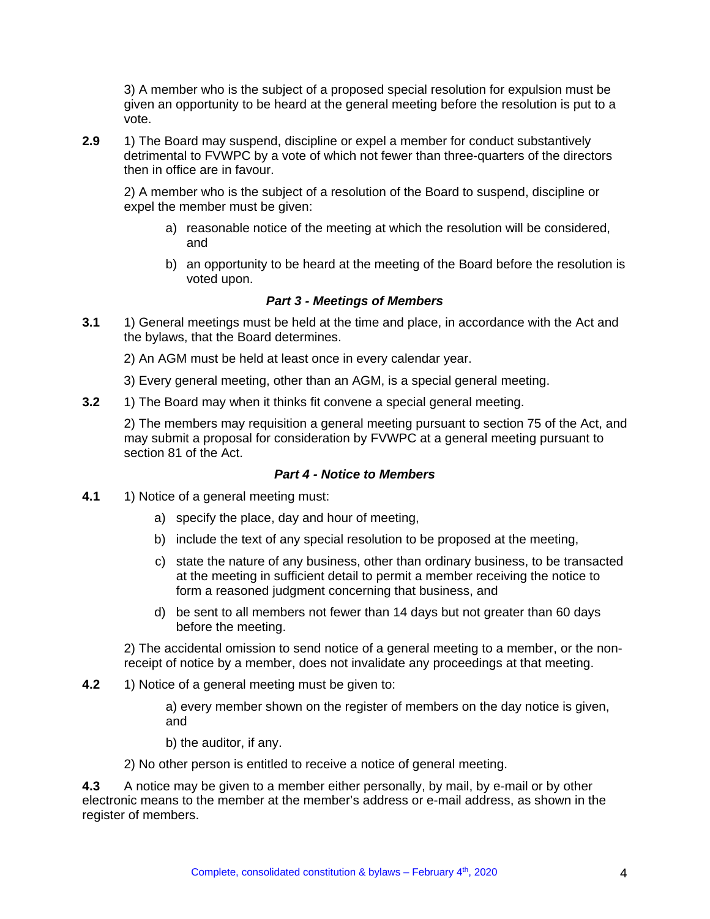3) A member who is the subject of a proposed special resolution for expulsion must be given an opportunity to be heard at the general meeting before the resolution is put to a vote.

**2.9** 1) The Board may suspend, discipline or expel a member for conduct substantively detrimental to FVWPC by a vote of which not fewer than three-quarters of the directors then in office are in favour.

2) A member who is the subject of a resolution of the Board to suspend, discipline or expel the member must be given:

- a) reasonable notice of the meeting at which the resolution will be considered, and
- b) an opportunity to be heard at the meeting of the Board before the resolution is voted upon.

## *Part 3 - Meetings of Members*

**3.1** 1) General meetings must be held at the time and place, in accordance with the Act and the bylaws, that the Board determines.

2) An AGM must be held at least once in every calendar year.

- 3) Every general meeting, other than an AGM, is a special general meeting.
- **3.2** 1) The Board may when it thinks fit convene a special general meeting.

2) The members may requisition a general meeting pursuant to section 75 of the Act, and may submit a proposal for consideration by FVWPC at a general meeting pursuant to section 81 of the Act.

#### *Part 4 - Notice to Members*

- **4.1** 1) Notice of a general meeting must:
	- a) specify the place, day and hour of meeting,
	- b) include the text of any special resolution to be proposed at the meeting,
	- c) state the nature of any business, other than ordinary business, to be transacted at the meeting in sufficient detail to permit a member receiving the notice to form a reasoned judgment concerning that business, and
	- d) be sent to all members not fewer than 14 days but not greater than 60 days before the meeting.

2) The accidental omission to send notice of a general meeting to a member, or the nonreceipt of notice by a member, does not invalidate any proceedings at that meeting.

**4.2** 1) Notice of a general meeting must be given to:

a) every member shown on the register of members on the day notice is given, and

b) the auditor, if any.

2) No other person is entitled to receive a notice of general meeting.

**4.3** A notice may be given to a member either personally, by mail, by e-mail or by other electronic means to the member at the member's address or e-mail address, as shown in the register of members.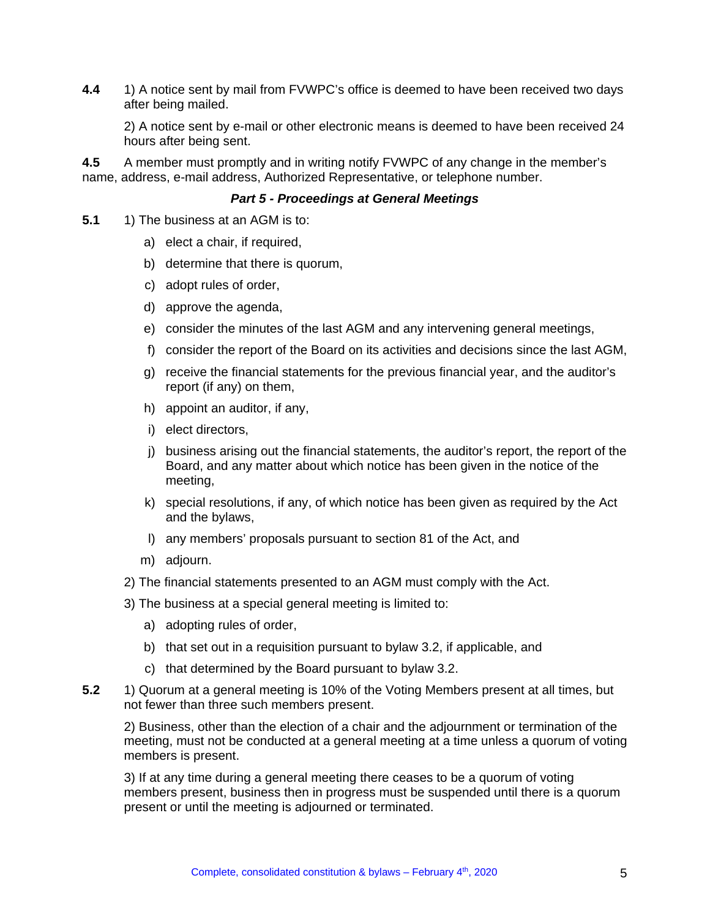**4.4** 1) A notice sent by mail from FVWPC's office is deemed to have been received two days after being mailed.

2) A notice sent by e-mail or other electronic means is deemed to have been received 24 hours after being sent.

**4.5** A member must promptly and in writing notify FVWPC of any change in the member's name, address, e-mail address, Authorized Representative, or telephone number.

#### *Part 5 - Proceedings at General Meetings*

- **5.1** 1) The business at an AGM is to:
	- a) elect a chair, if required,
	- b) determine that there is quorum,
	- c) adopt rules of order,
	- d) approve the agenda,
	- e) consider the minutes of the last AGM and any intervening general meetings,
	- f) consider the report of the Board on its activities and decisions since the last AGM,
	- g) receive the financial statements for the previous financial year, and the auditor's report (if any) on them,
	- h) appoint an auditor, if any,
	- i) elect directors,
	- j) business arising out the financial statements, the auditor's report, the report of the Board, and any matter about which notice has been given in the notice of the meeting,
	- k) special resolutions, if any, of which notice has been given as required by the Act and the bylaws,
	- l) any members' proposals pursuant to section 81 of the Act, and
	- m) adjourn.
	- 2) The financial statements presented to an AGM must comply with the Act.
	- 3) The business at a special general meeting is limited to:
		- a) adopting rules of order,
		- b) that set out in a requisition pursuant to bylaw 3.2, if applicable, and
		- c) that determined by the Board pursuant to bylaw 3.2.
- **5.2** 1) Quorum at a general meeting is 10% of the Voting Members present at all times, but not fewer than three such members present.

2) Business, other than the election of a chair and the adjournment or termination of the meeting, must not be conducted at a general meeting at a time unless a quorum of voting members is present.

3) If at any time during a general meeting there ceases to be a quorum of voting members present, business then in progress must be suspended until there is a quorum present or until the meeting is adjourned or terminated.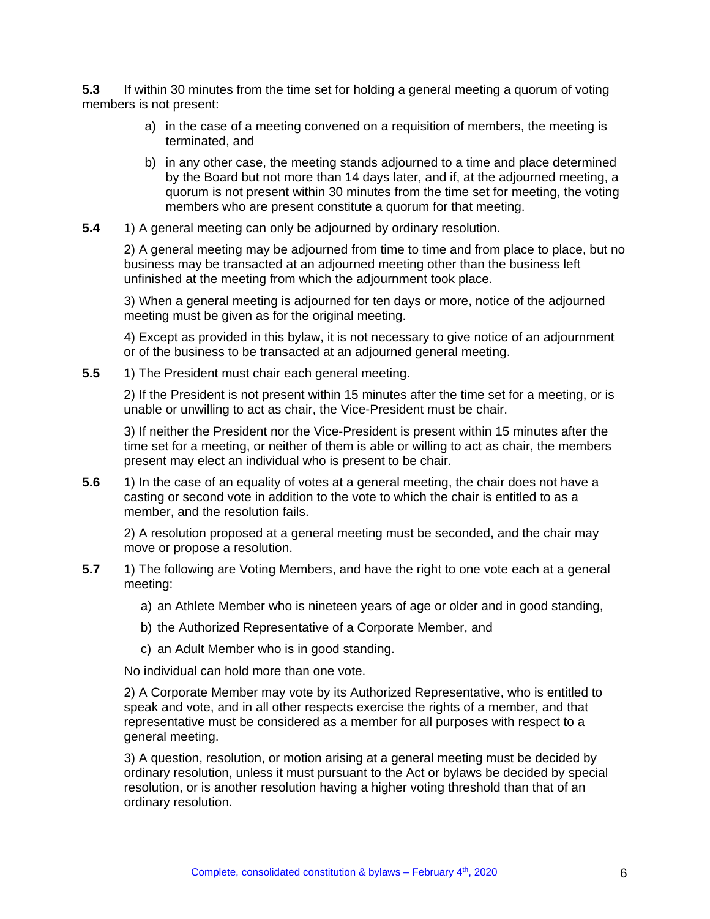**5.3** If within 30 minutes from the time set for holding a general meeting a quorum of voting members is not present:

- a) in the case of a meeting convened on a requisition of members, the meeting is terminated, and
- b) in any other case, the meeting stands adjourned to a time and place determined by the Board but not more than 14 days later, and if, at the adjourned meeting, a quorum is not present within 30 minutes from the time set for meeting, the voting members who are present constitute a quorum for that meeting.
- **5.4** 1) A general meeting can only be adjourned by ordinary resolution.

2) A general meeting may be adjourned from time to time and from place to place, but no business may be transacted at an adjourned meeting other than the business left unfinished at the meeting from which the adjournment took place.

3) When a general meeting is adjourned for ten days or more, notice of the adjourned meeting must be given as for the original meeting.

4) Except as provided in this bylaw, it is not necessary to give notice of an adjournment or of the business to be transacted at an adjourned general meeting.

**5.5** 1) The President must chair each general meeting.

2) If the President is not present within 15 minutes after the time set for a meeting, or is unable or unwilling to act as chair, the Vice-President must be chair.

3) If neither the President nor the Vice-President is present within 15 minutes after the time set for a meeting, or neither of them is able or willing to act as chair, the members present may elect an individual who is present to be chair.

**5.6** 1) In the case of an equality of votes at a general meeting, the chair does not have a casting or second vote in addition to the vote to which the chair is entitled to as a member, and the resolution fails.

2) A resolution proposed at a general meeting must be seconded, and the chair may move or propose a resolution.

- **5.7** 1) The following are Voting Members, and have the right to one vote each at a general meeting:
	- a) an Athlete Member who is nineteen years of age or older and in good standing,
	- b) the Authorized Representative of a Corporate Member, and
	- c) an Adult Member who is in good standing.

No individual can hold more than one vote.

2) A Corporate Member may vote by its Authorized Representative, who is entitled to speak and vote, and in all other respects exercise the rights of a member, and that representative must be considered as a member for all purposes with respect to a general meeting.

3) A question, resolution, or motion arising at a general meeting must be decided by ordinary resolution, unless it must pursuant to the Act or bylaws be decided by special resolution, or is another resolution having a higher voting threshold than that of an ordinary resolution.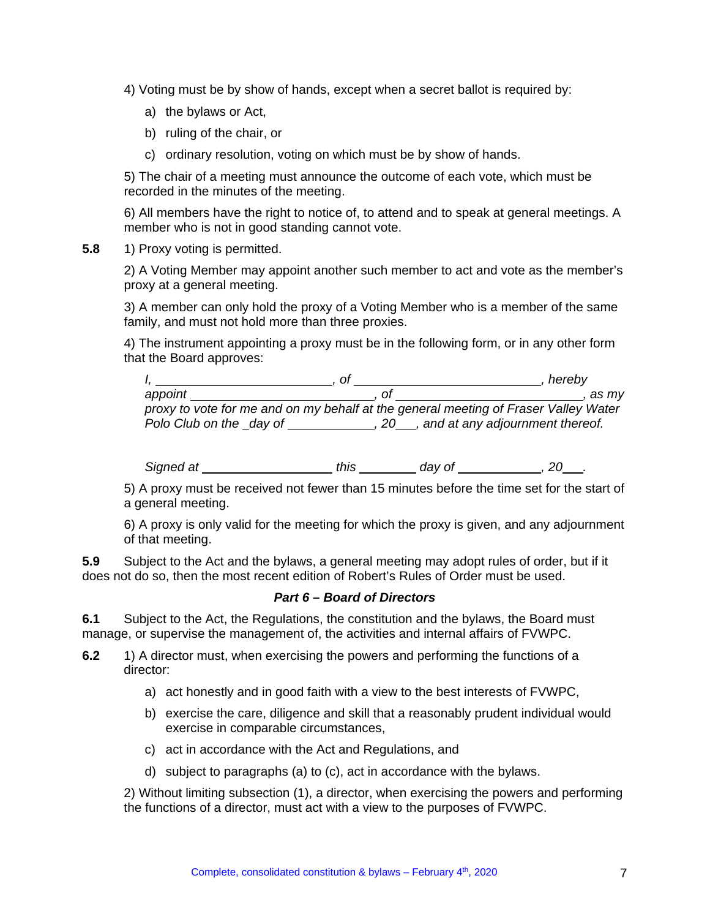- 4) Voting must be by show of hands, except when a secret ballot is required by:
	- a) the bylaws or Act,
	- b) ruling of the chair, or
	- c) ordinary resolution, voting on which must be by show of hands.

5) The chair of a meeting must announce the outcome of each vote, which must be recorded in the minutes of the meeting.

6) All members have the right to notice of, to attend and to speak at general meetings. A member who is not in good standing cannot vote.

**5.8** 1) Proxy voting is permitted.

2) A Voting Member may appoint another such member to act and vote as the member's proxy at a general meeting.

3) A member can only hold the proxy of a Voting Member who is a member of the same family, and must not hold more than three proxies.

4) The instrument appointing a proxy must be in the following form, or in any other form that the Board approves:

|                          |                                                                                     | hereby                                    |
|--------------------------|-------------------------------------------------------------------------------------|-------------------------------------------|
| appoint                  |                                                                                     | as mv                                     |
|                          | proxy to vote for me and on my behalf at the general meeting of Fraser Valley Water |                                           |
| Polo Club on the _day of |                                                                                     | , 20 ___, and at any adjournment thereof. |

*Signed at this day of , 20 .*

5) A proxy must be received not fewer than 15 minutes before the time set for the start of a general meeting.

6) A proxy is only valid for the meeting for which the proxy is given, and any adjournment of that meeting.

**5.9** Subject to the Act and the bylaws, a general meeting may adopt rules of order, but if it does not do so, then the most recent edition of Robert's Rules of Order must be used.

#### *Part 6 – Board of Directors*

**6.1** Subject to the Act, the Regulations, the constitution and the bylaws, the Board must manage, or supervise the management of, the activities and internal affairs of FVWPC.

- **6.2** 1) A director must, when exercising the powers and performing the functions of a director:
	- a) act honestly and in good faith with a view to the best interests of FVWPC,
	- b) exercise the care, diligence and skill that a reasonably prudent individual would exercise in comparable circumstances,
	- c) act in accordance with the Act and Regulations, and
	- d) subject to paragraphs (a) to (c), act in accordance with the bylaws.

2) Without limiting subsection (1), a director, when exercising the powers and performing the functions of a director, must act with a view to the purposes of FVWPC.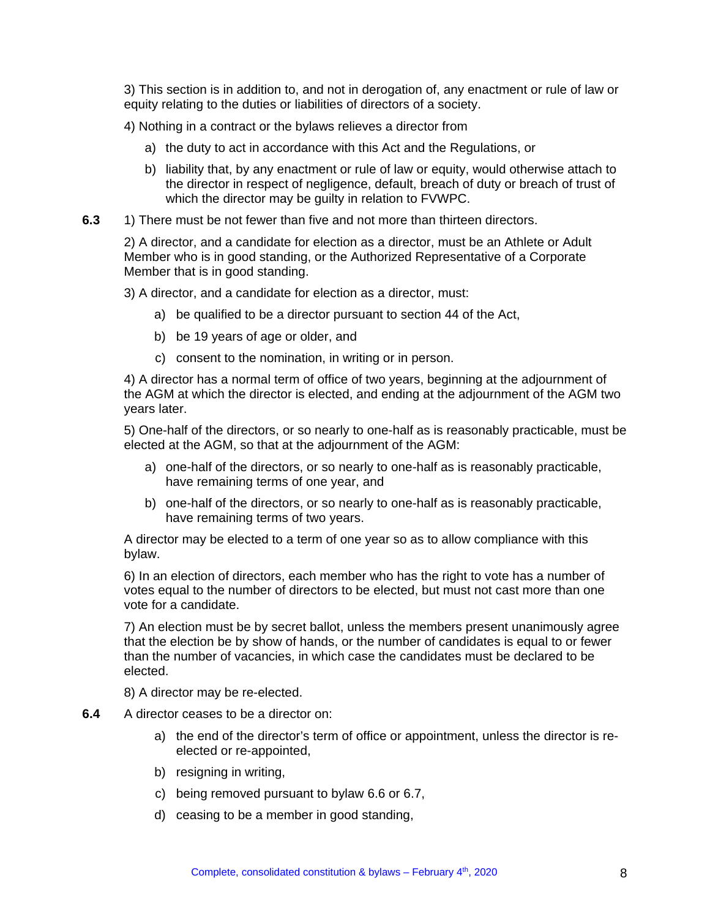3) This section is in addition to, and not in derogation of, any enactment or rule of law or equity relating to the duties or liabilities of directors of a society.

4) Nothing in a contract or the bylaws relieves a director from

- a) the duty to act in accordance with this Act and the Regulations, or
- b) liability that, by any enactment or rule of law or equity, would otherwise attach to the director in respect of negligence, default, breach of duty or breach of trust of which the director may be guilty in relation to FVWPC.
- **6.3** 1) There must be not fewer than five and not more than thirteen directors.

2) A director, and a candidate for election as a director, must be an Athlete or Adult Member who is in good standing, or the Authorized Representative of a Corporate Member that is in good standing.

3) A director, and a candidate for election as a director, must:

- a) be qualified to be a director pursuant to section 44 of the Act,
- b) be 19 years of age or older, and
- c) consent to the nomination, in writing or in person.

4) A director has a normal term of office of two years, beginning at the adjournment of the AGM at which the director is elected, and ending at the adjournment of the AGM two years later.

5) One-half of the directors, or so nearly to one-half as is reasonably practicable, must be elected at the AGM, so that at the adjournment of the AGM:

- a) one-half of the directors, or so nearly to one-half as is reasonably practicable, have remaining terms of one year, and
- b) one-half of the directors, or so nearly to one-half as is reasonably practicable, have remaining terms of two years.

A director may be elected to a term of one year so as to allow compliance with this bylaw.

6) In an election of directors, each member who has the right to vote has a number of votes equal to the number of directors to be elected, but must not cast more than one vote for a candidate.

7) An election must be by secret ballot, unless the members present unanimously agree that the election be by show of hands, or the number of candidates is equal to or fewer than the number of vacancies, in which case the candidates must be declared to be elected.

8) A director may be re-elected.

- **6.4** A director ceases to be a director on:
	- a) the end of the director's term of office or appointment, unless the director is reelected or re-appointed,
	- b) resigning in writing,
	- c) being removed pursuant to bylaw 6.6 or 6.7,
	- d) ceasing to be a member in good standing,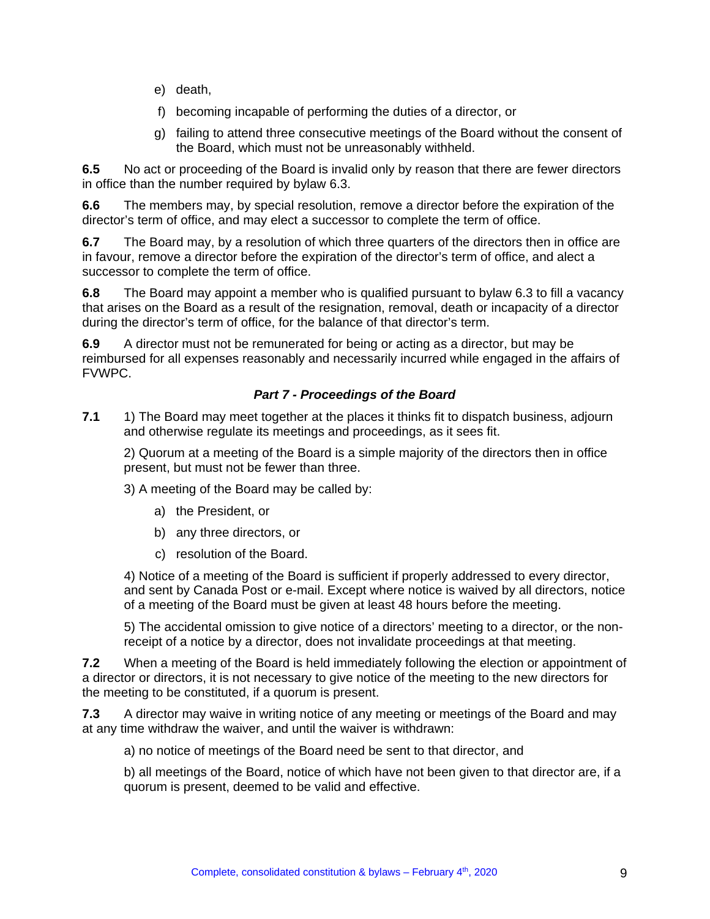- e) death,
- f) becoming incapable of performing the duties of a director, or
- g) failing to attend three consecutive meetings of the Board without the consent of the Board, which must not be unreasonably withheld.

**6.5** No act or proceeding of the Board is invalid only by reason that there are fewer directors in office than the number required by bylaw 6.3.

**6.6** The members may, by special resolution, remove a director before the expiration of the director's term of office, and may elect a successor to complete the term of office.

**6.7** The Board may, by a resolution of which three quarters of the directors then in office are in favour, remove a director before the expiration of the director's term of office, and alect a successor to complete the term of office.

**6.8** The Board may appoint a member who is qualified pursuant to bylaw 6.3 to fill a vacancy that arises on the Board as a result of the resignation, removal, death or incapacity of a director during the director's term of office, for the balance of that director's term.

**6.9** A director must not be remunerated for being or acting as a director, but may be reimbursed for all expenses reasonably and necessarily incurred while engaged in the affairs of FVWPC.

# *Part 7 - Proceedings of the Board*

**7.1** 1) The Board may meet together at the places it thinks fit to dispatch business, adjourn and otherwise regulate its meetings and proceedings, as it sees fit.

2) Quorum at a meeting of the Board is a simple majority of the directors then in office present, but must not be fewer than three.

3) A meeting of the Board may be called by:

- a) the President, or
- b) any three directors, or
- c) resolution of the Board.

4) Notice of a meeting of the Board is sufficient if properly addressed to every director, and sent by Canada Post or e-mail. Except where notice is waived by all directors, notice of a meeting of the Board must be given at least 48 hours before the meeting.

5) The accidental omission to give notice of a directors' meeting to a director, or the nonreceipt of a notice by a director, does not invalidate proceedings at that meeting.

**7.2** When a meeting of the Board is held immediately following the election or appointment of a director or directors, it is not necessary to give notice of the meeting to the new directors for the meeting to be constituted, if a quorum is present.

**7.3** A director may waive in writing notice of any meeting or meetings of the Board and may at any time withdraw the waiver, and until the waiver is withdrawn:

a) no notice of meetings of the Board need be sent to that director, and

b) all meetings of the Board, notice of which have not been given to that director are, if a quorum is present, deemed to be valid and effective.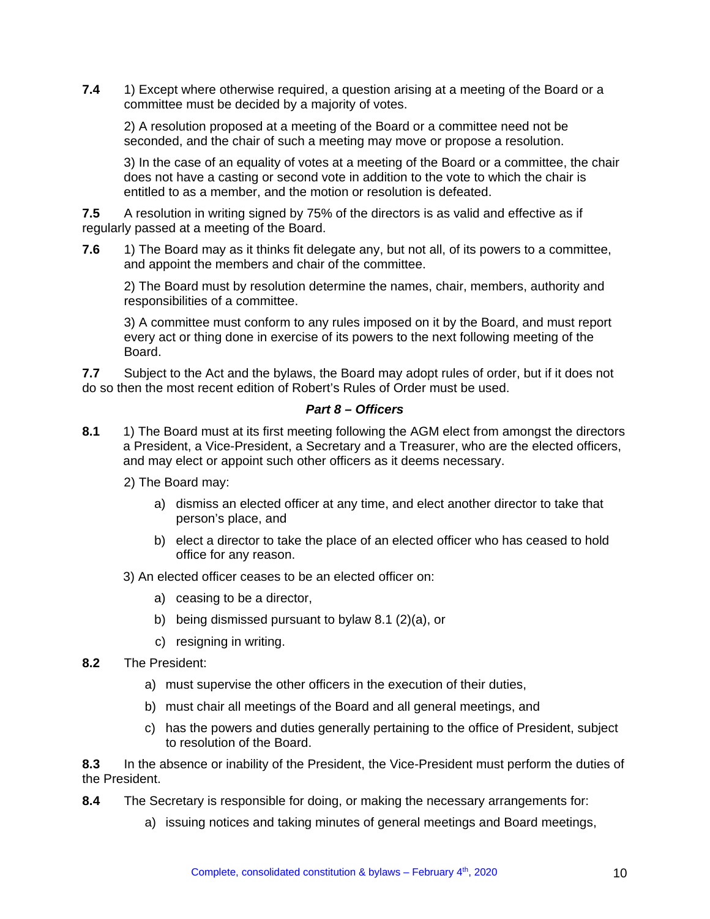**7.4** 1) Except where otherwise required, a question arising at a meeting of the Board or a committee must be decided by a majority of votes.

2) A resolution proposed at a meeting of the Board or a committee need not be seconded, and the chair of such a meeting may move or propose a resolution.

3) In the case of an equality of votes at a meeting of the Board or a committee, the chair does not have a casting or second vote in addition to the vote to which the chair is entitled to as a member, and the motion or resolution is defeated.

**7.5** A resolution in writing signed by 75% of the directors is as valid and effective as if regularly passed at a meeting of the Board.

**7.6** 1) The Board may as it thinks fit delegate any, but not all, of its powers to a committee, and appoint the members and chair of the committee.

2) The Board must by resolution determine the names, chair, members, authority and responsibilities of a committee.

3) A committee must conform to any rules imposed on it by the Board, and must report every act or thing done in exercise of its powers to the next following meeting of the Board.

**7.7** Subject to the Act and the bylaws, the Board may adopt rules of order, but if it does not do so then the most recent edition of Robert's Rules of Order must be used.

## *Part 8 – Officers*

- **8.1** 1) The Board must at its first meeting following the AGM elect from amongst the directors a President, a Vice-President, a Secretary and a Treasurer, who are the elected officers, and may elect or appoint such other officers as it deems necessary.
	- 2) The Board may:
		- a) dismiss an elected officer at any time, and elect another director to take that person's place, and
		- b) elect a director to take the place of an elected officer who has ceased to hold office for any reason.

3) An elected officer ceases to be an elected officer on:

- a) ceasing to be a director,
- b) being dismissed pursuant to bylaw 8.1 (2)(a), or
- c) resigning in writing.
- **8.2** The President:
	- a) must supervise the other officers in the execution of their duties,
	- b) must chair all meetings of the Board and all general meetings, and
	- c) has the powers and duties generally pertaining to the office of President, subject to resolution of the Board.

**8.3** In the absence or inability of the President, the Vice-President must perform the duties of the President.

- **8.4** The Secretary is responsible for doing, or making the necessary arrangements for:
	- a) issuing notices and taking minutes of general meetings and Board meetings,